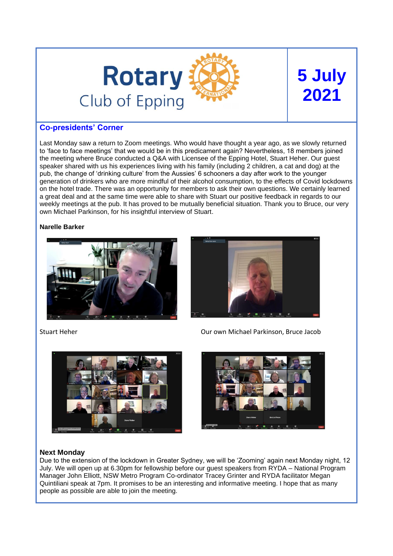

# **5 July 2021**

# **Co-presidents' Corner**

Last Monday saw a return to Zoom meetings. Who would have thought a year ago, as we slowly returned to 'face to face meetings' that we would be in this predicament again? Nevertheless, 18 members joined the meeting where Bruce conducted a Q&A with Licensee of the Epping Hotel, Stuart Heher. Our guest speaker shared with us his experiences living with his family (including 2 children, a cat and dog) at the pub, the change of 'drinking culture' from the Aussies' 6 schooners a day after work to the younger generation of drinkers who are more mindful of their alcohol consumption, to the effects of Covid lockdowns on the hotel trade. There was an opportunity for members to ask their own questions. We certainly learned a great deal and at the same time were able to share with Stuart our positive feedback in regards to our weekly meetings at the pub. It has proved to be mutually beneficial situation. Thank you to Bruce, our very own Michael Parkinson, for his insightful interview of Stuart.

#### **Narelle Barker**











# **Next Monday**

Due to the extension of the lockdown in Greater Sydney, we will be 'Zooming' again next Monday night, 12 July. We will open up at 6.30pm for fellowship before our guest speakers from RYDA – National Program Manager John Elliott, NSW Metro Program Co-ordinator Tracey Grinter and RYDA facilitator Megan Quintiliani speak at 7pm. It promises to be an interesting and informative meeting. I hope that as many people as possible are able to join the meeting.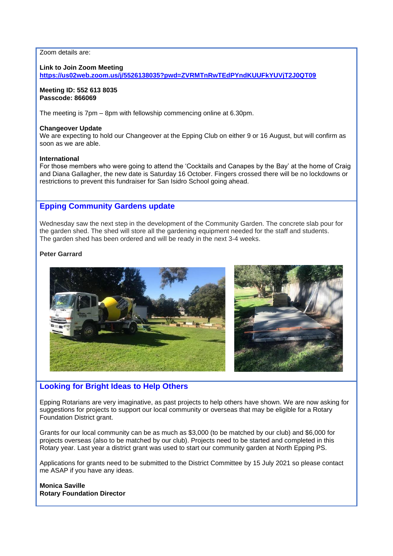#### Zoom details are:

#### **Link to Join Zoom Meeting**

**<https://us02web.zoom.us/j/5526138035?pwd=ZVRMTnRwTEdPYndKUUFkYUVjT2J0QT09>**

#### **Meeting ID: 552 613 8035 Passcode: 866069**

The meeting is 7pm – 8pm with fellowship commencing online at 6.30pm.

#### **Changeover Update**

We are expecting to hold our Changeover at the Epping Club on either 9 or 16 August, but will confirm as soon as we are able.

#### **International**

For those members who were going to attend the 'Cocktails and Canapes by the Bay' at the home of Craig and Diana Gallagher, the new date is Saturday 16 October. Fingers crossed there will be no lockdowns or restrictions to prevent this fundraiser for San Isidro School going ahead.

# **Epping Community Gardens update**

Wednesday saw the next step in the development of the Community Garden. The concrete slab pour for the garden shed. The shed will store all the gardening equipment needed for the staff and students. The garden shed has been ordered and will be ready in the next 3-4 weeks.

#### **Peter Garrard**



# **Looking for Bright Ideas to Help Others**

Epping Rotarians are very imaginative, as past projects to help others have shown. We are now asking for suggestions for projects to support our local community or overseas that may be eligible for a Rotary Foundation District grant.

Grants for our local community can be as much as \$3,000 (to be matched by our club) and \$6,000 for projects overseas (also to be matched by our club). Projects need to be started and completed in this Rotary year. Last year a district grant was used to start our community garden at North Epping PS.

Applications for grants need to be submitted to the District Committee by 15 July 2021 so please contact me ASAP if you have any ideas.

#### **Monica Saville Rotary Foundation Director**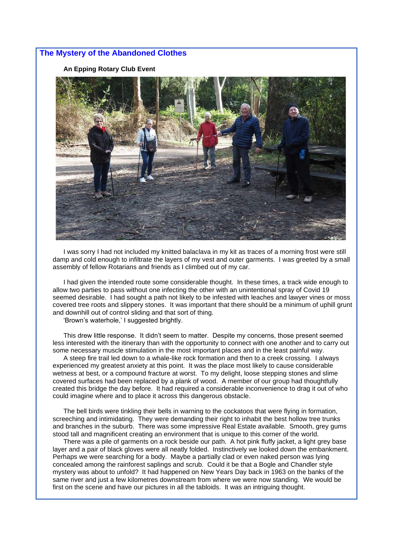#### **The Mystery of the Abandoned Clothes**

**An Epping Rotary Club Event**



I was sorry I had not included my knitted balaclava in my kit as traces of a morning frost were still damp and cold enough to infiltrate the layers of my vest and outer garments. I was greeted by a small assembly of fellow Rotarians and friends as I climbed out of my car.

I had given the intended route some considerable thought. In these times, a track wide enough to allow two parties to pass without one infecting the other with an unintentional spray of Covid 19 seemed desirable. I had sought a path not likely to be infested with leaches and lawyer vines or moss covered tree roots and slippery stones. It was important that there should be a minimum of uphill grunt and downhill out of control sliding and that sort of thing.

'Brown's waterhole,' I suggested brightly.

This drew little response. It didn't seem to matter. Despite my concerns, those present seemed less interested with the itinerary than with the opportunity to connect with one another and to carry out some necessary muscle stimulation in the most important places and in the least painful way.

A steep fire trail led down to a whale-like rock formation and then to a creek crossing. I always experienced my greatest anxiety at this point. It was the place most likely to cause considerable wetness at best, or a compound fracture at worst. To my delight, loose stepping stones and slime covered surfaces had been replaced by a plank of wood. A member of our group had thoughtfully created this bridge the day before. It had required a considerable inconvenience to drag it out of who could imagine where and to place it across this dangerous obstacle.

The bell birds were tinkling their bells in warning to the cockatoos that were flying in formation, screeching and intimidating. They were demanding their right to inhabit the best hollow tree trunks and branches in the suburb. There was some impressive Real Estate available. Smooth, grey gums stood tall and magnificent creating an environment that is unique to this corner of the world.

There was a pile of garments on a rock beside our path. A hot pink fluffy jacket, a light grey base layer and a pair of black gloves were all neatly folded. Instinctively we looked down the embankment. Perhaps we were searching for a body. Maybe a partially clad or even naked person was lying concealed among the rainforest saplings and scrub. Could it be that a Bogle and Chandler style mystery was about to unfold? It had happened on New Years Day back in 1963 on the banks of the same river and just a few kilometres downstream from where we were now standing. We would be first on the scene and have our pictures in all the tabloids. It was an intriguing thought.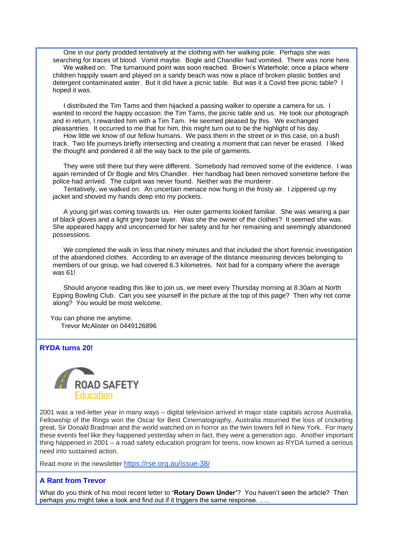One in our party prodded tentatively at the clothing with her walking pole. Perhaps she was searching for traces of blood. Vomit maybe. Bogle and Chandler had vomited. There was none here. We walked on. The turnaround point was soon reached. Brown's Waterhole; once a place where children happily swam and played on a sandy beach was now a place of broken plastic bottles and detergent contaminated water. But it did have a picnic table. But was it a Covid free picnic table? I hoped it was.

I distributed the Tim Tams and then hijacked a passing walker to operate a camera for us. I wanted to record the happy occasion: the Tim Tams, the picnic table and us. He took our photograph and in return, I rewarded him with a Tim Tam. He seemed pleased by this. We exchanged pleasantries. It occurred to me that for him, this might turn out to be the highlight of his day.

How little we know of our fellow humans. We pass them in the street or in this case, on a bush track. Two life journeys briefly intersecting and creating a moment that can never be erased. I liked the thought and pondered it all the way back to the pile of garments.

They were still there but they were different. Somebody had removed some of the evidence. I was again reminded of Dr Bogle and Mrs Chandler. Her handbag had been removed sometime before the police had arrived. The culprit was never found. Neither was the murderer.

Tentatively, we walked on. An uncertain menace now hung in the frosty air. I zippered up my jacket and shoved my hands deep into my pockets.

A young girl was coming towards us. Her outer garments looked familiar. She was wearing a pair of black gloves and a light grey base layer. Was she the owner of the clothes? It seemed she was. She appeared happy and unconcerned for her safety and for her remaining and seemingly abandoned possessions.

We completed the walk in less that ninety minutes and that included the short forensic investigation of the abandoned clothes. According to an average of the distance measuring devices belonging to members of our group, we had covered 6.3 kilometres. Not bad for a company where the average was 61!

Should anyone reading this like to join us, we meet every Thursday morning at 8.30am at North Epping Bowling Club. Can you see yourself in the picture at the top of this page? Then why not come along? You would be most welcome.

You can phone me anytime. Trevor McAlister on 0449126896

#### **RYDA turns 20!**



2001 was a red-letter year in many ways – digital television arrived in major state capitals across Australia, Fellowship of the Rings won the Oscar for Best Cinematography, Australia mourned the loss of cricketing great, Sir Donald Bradman and the world watched on in horror as the twin towers fell in New York. For many these events feel like they happened yesterday when in fact, they were a generation ago. Another important thing happened in 2001 – a road safety education program for teens, now known as RYDA turned a serious need into sustained action.

Read more in the newsletter <https://rse.org.au/issue-38/>

# **A Rant from Trevor**

What do you think of his most recent letter to **'Rotary Down Under'**? You haven't seen the article? Then perhaps you might take a look and find out if it triggers the same response. …..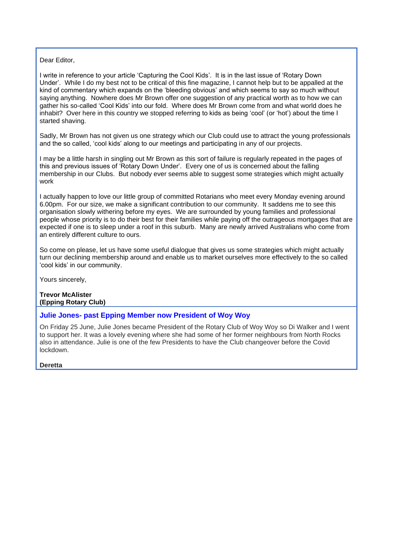# Dear Editor,

I write in reference to your article 'Capturing the Cool Kids'. It is in the last issue of 'Rotary Down Under'. While I do my best not to be critical of this fine magazine, I cannot help but to be appalled at the kind of commentary which expands on the 'bleeding obvious' and which seems to say so much without saying anything. Nowhere does Mr Brown offer one suggestion of any practical worth as to how we can gather his so-called 'Cool Kids' into our fold. Where does Mr Brown come from and what world does he inhabit? Over here in this country we stopped referring to kids as being 'cool' (or 'hot') about the time I started shaving.

Sadly, Mr Brown has not given us one strategy which our Club could use to attract the young professionals and the so called, 'cool kids' along to our meetings and participating in any of our projects.

I may be a little harsh in singling out Mr Brown as this sort of failure is regularly repeated in the pages of this and previous issues of 'Rotary Down Under'. Every one of us is concerned about the falling membership in our Clubs. But nobody ever seems able to suggest some strategies which might actually work

I actually happen to love our little group of committed Rotarians who meet every Monday evening around 6.00pm. For our size, we make a significant contribution to our community. It saddens me to see this organisation slowly withering before my eyes. We are surrounded by young families and professional people whose priority is to do their best for their families while paying off the outrageous mortgages that are expected if one is to sleep under a roof in this suburb. Many are newly arrived Australians who come from an entirely different culture to ours.

So come on please, let us have some useful dialogue that gives us some strategies which might actually turn our declining membership around and enable us to market ourselves more effectively to the so called 'cool kids' in our community.

Yours sincerely,

#### **Trevor McAlister (Epping Rotary Club)**

# **Julie Jones- past Epping Member now President of Woy Woy**

On Friday 25 June, Julie Jones became President of the Rotary Club of Woy Woy so Di Walker and I went to support her. It was a lovely evening where she had some of her former neighbours from North Rocks also in attendance. Julie is one of the few Presidents to have the Club changeover before the Covid lockdown.

**Deretta**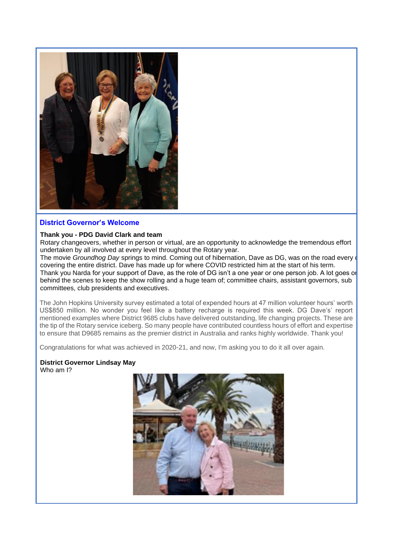

# **District Governor's Welcome**

#### **Thank you - PDG David Clark and team**

Rotary changeovers, whether in person or virtual, are an opportunity to acknowledge the tremendous effort undertaken by all involved at every level throughout the Rotary year.

The movie *Groundhog Day* springs to mind. Coming out of hibernation, Daye as DG, was on the road every detection covering the entire district. Dave has made up for where COVID restricted him at the start of his term. Thank you Narda for your support of Dave, as the role of DG isn't a one year or one person job. A lot goes on behind the scenes to keep the show rolling and a huge team of; committee chairs, assistant governors, sub committees, club presidents and executives.

The John Hopkins University survey estimated a total of expended hours at 47 million volunteer hours' worth US\$850 million. No wonder you feel like a battery recharge is required this week. DG Dave's' report mentioned examples where District 9685 clubs have delivered outstanding, life changing projects. These are the tip of the Rotary service iceberg. So many people have contributed countless hours of effort and expertise to ensure that D9685 remains as the premier district in Australia and ranks highly worldwide. Thank you!

Congratulations for what was achieved in 2020-21, and now, I'm asking you to do it all over again.

#### **District Governor Lindsay May** Who am I?